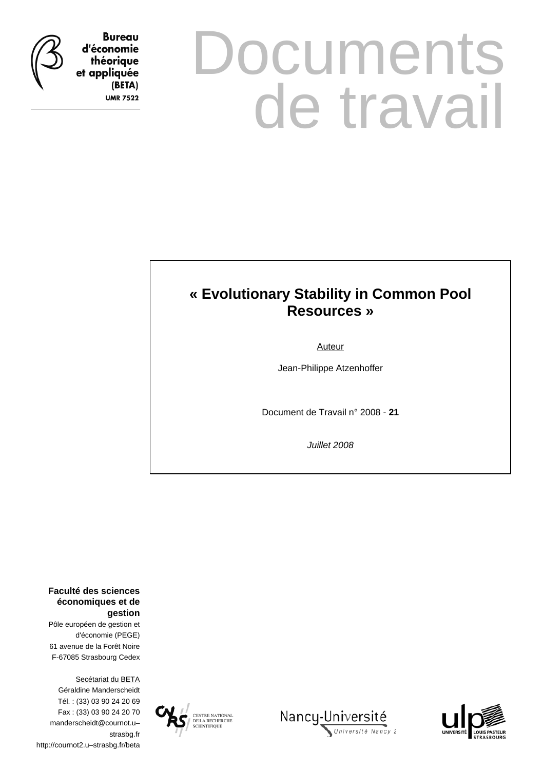**Bureau** d'économie théorique et appliquée

> (BETA) **UMR 7522**

# **Documents** de travail

# **« Evolutionary Stability in Common Pool Resources »**

Auteur

Jean-Philippe Atzenhoffer

Document de Travail n° 2008 - **21**

*Juillet 2008* 

**Faculté des sciences économiques et de gestion**

Pôle européen de gestion et d'économie (PEGE) 61 avenue de la Forêt Noire F-67085 Strasbourg Cedex

Secétariat du BETA Géraldine Manderscheidt Tél. : (33) 03 90 24 20 69 Fax : (33) 03 90 24 20 70 manderscheidt@cournot.u– strasbg.fr http://cournot2.u–strasbg.fr/beta





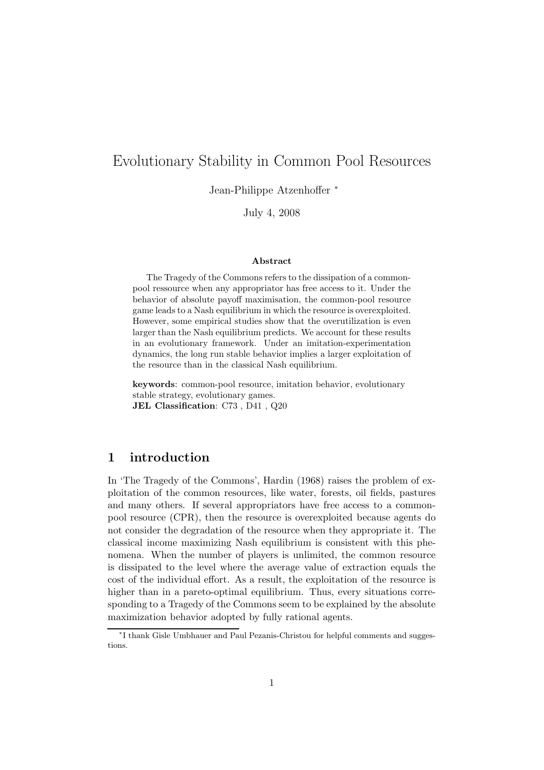# Evolutionary Stability in Common Pool Resources

Jean-Philippe Atzenhoffer <sup>∗</sup>

July 4, 2008

#### Abstract

The Tragedy of the Commons refers to the dissipation of a commonpool ressource when any appropriator has free access to it. Under the behavior of absolute payoff maximisation, the common-pool resource game leads to a Nash equilibrium in which the resource is overexploited. However, some empirical studies show that the overutilization is even larger than the Nash equilibrium predicts. We account for these results in an evolutionary framework. Under an imitation-experimentation dynamics, the long run stable behavior implies a larger exploitation of the resource than in the classical Nash equilibrium.

keywords: common-pool resource, imitation behavior, evolutionary stable strategy, evolutionary games. JEL Classification: C73, D41, Q20

# 1 introduction

In 'The Tragedy of the Commons', Hardin (1968) raises the problem of exploitation of the common resources, like water, forests, oil fields, pastures and many others. If several appropriators have free access to a commonpool resource (CPR), then the resource is overexploited because agents do not consider the degradation of the resource when they appropriate it. The classical income maximizing Nash equilibrium is consistent with this phenomena. When the number of players is unlimited, the common resource is dissipated to the level where the average value of extraction equals the cost of the individual effort. As a result, the exploitation of the resource is higher than in a pareto-optimal equilibrium. Thus, every situations corresponding to a Tragedy of the Commons seem to be explained by the absolute maximization behavior adopted by fully rational agents.

<sup>∗</sup> I thank Gisle Umbhauer and Paul Pezanis-Christou for helpful comments and suggestions.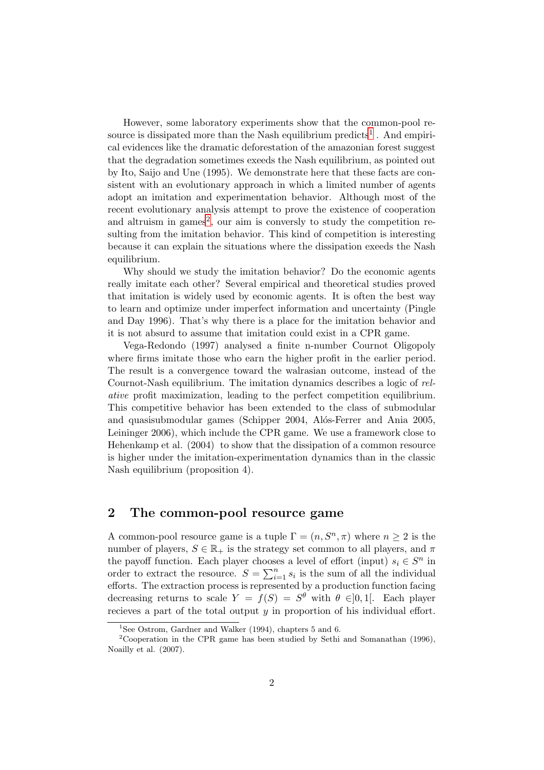However, some laboratory experiments show that the common-pool re-source is dissipated more than the Nash equilibrium predicts<sup>[1](#page-2-0)</sup>. And empirical evidences like the dramatic deforestation of the amazonian forest suggest that the degradation sometimes exeeds the Nash equilibrium, as pointed out by Ito, Saijo and Une (1995). We demonstrate here that these facts are consistent with an evolutionary approach in which a limited number of agents adopt an imitation and experimentation behavior. Although most of the recent evolutionary analysis attempt to prove the existence of cooperation and altruism in games<sup>[2](#page-2-1)</sup>, our aim is conversly to study the competition resulting from the imitation behavior. This kind of competition is interesting because it can explain the situations where the dissipation exeeds the Nash equilibrium.

Why should we study the imitation behavior? Do the economic agents really imitate each other? Several empirical and theoretical studies proved that imitation is widely used by economic agents. It is often the best way to learn and optimize under imperfect information and uncertainty (Pingle and Day 1996). That's why there is a place for the imitation behavior and it is not absurd to assume that imitation could exist in a CPR game.

Vega-Redondo (1997) analysed a finite n-number Cournot Oligopoly where firms imitate those who earn the higher profit in the earlier period. The result is a convergence toward the walrasian outcome, instead of the Cournot-Nash equilibrium. The imitation dynamics describes a logic of relative profit maximization, leading to the perfect competition equilibrium. This competitive behavior has been extended to the class of submodular and quasisubmodular games (Schipper 2004, Alós-Ferrer and Ania 2005, Leininger 2006), which include the CPR game. We use a framework close to Hehenkamp et al. (2004) to show that the dissipation of a common resource is higher under the imitation-experimentation dynamics than in the classic Nash equilibrium (proposition 4).

### 2 The common-pool resource game

A common-pool resource game is a tuple  $\Gamma = (n, S^n, \pi)$  where  $n \geq 2$  is the number of players,  $S \in \mathbb{R}_+$  is the strategy set common to all players, and  $\pi$ the payoff function. Each player chooses a level of effort (input)  $s_i \in S^n$  in order to extract the resource.  $S = \sum_{i=1}^{n} s_i$  is the sum of all the individual efforts. The extraction process is represented by a production function facing decreasing returns to scale  $Y = f(S) = S^{\theta}$  with  $\theta \in ]0,1[$ . Each player recieves a part of the total output y in proportion of his individual effort.

<span id="page-2-0"></span><sup>&</sup>lt;sup>1</sup>See Ostrom, Gardner and Walker (1994), chapters 5 and 6.

<span id="page-2-1"></span><sup>2</sup>Cooperation in the CPR game has been studied by Sethi and Somanathan (1996), Noailly et al. (2007).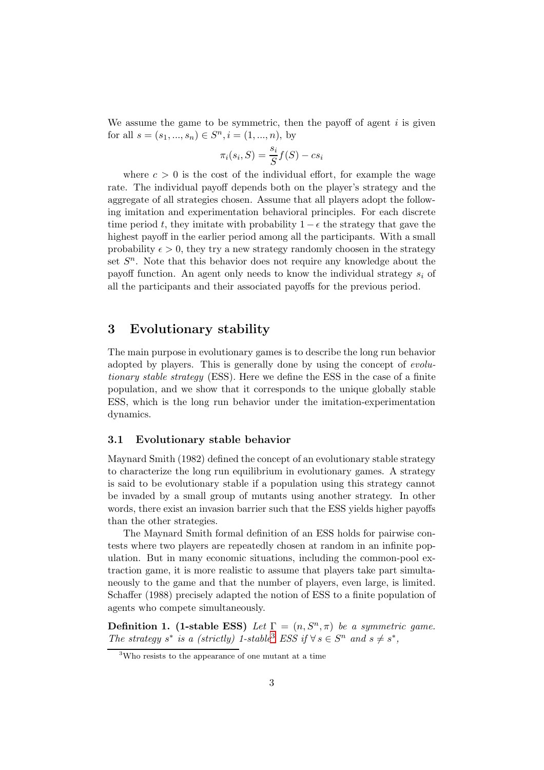We assume the game to be symmetric, then the payoff of agent  $i$  is given for all  $s = (s_1, ..., s_n) \in S^n, i = (1, ..., n)$ , by

$$
\pi_i(s_i, S) = \frac{s_i}{S} f(S) - cs_i
$$

where  $c > 0$  is the cost of the individual effort, for example the wage rate. The individual payoff depends both on the player's strategy and the aggregate of all strategies chosen. Assume that all players adopt the following imitation and experimentation behavioral principles. For each discrete time period t, they imitate with probability  $1 - \epsilon$  the strategy that gave the highest payoff in the earlier period among all the participants. With a small probability  $\epsilon > 0$ , they try a new strategy randomly choosen in the strategy set  $S<sup>n</sup>$ . Note that this behavior does not require any knowledge about the payoff function. An agent only needs to know the individual strategy  $s_i$  of all the participants and their associated payoffs for the previous period.

# 3 Evolutionary stability

The main purpose in evolutionary games is to describe the long run behavior adopted by players. This is generally done by using the concept of evolutionary stable strategy (ESS). Here we define the ESS in the case of a finite population, and we show that it corresponds to the unique globally stable ESS, which is the long run behavior under the imitation-experimentation dynamics.

#### 3.1 Evolutionary stable behavior

Maynard Smith (1982) defined the concept of an evolutionary stable strategy to characterize the long run equilibrium in evolutionary games. A strategy is said to be evolutionary stable if a population using this strategy cannot be invaded by a small group of mutants using another strategy. In other words, there exist an invasion barrier such that the ESS yields higher payoffs than the other strategies.

The Maynard Smith formal definition of an ESS holds for pairwise contests where two players are repeatedly chosen at random in an infinite population. But in many economic situations, including the common-pool extraction game, it is more realistic to assume that players take part simultaneously to the game and that the number of players, even large, is limited. Schaffer (1988) precisely adapted the notion of ESS to a finite population of agents who compete simultaneously.

**Definition 1.** (1-stable ESS) Let  $\Gamma = (n, S^n, \pi)$  be a symmetric game. The strategy s<sup>\*</sup> is a (strictly) 1-stable<sup>[3](#page-3-0)</sup> ESS if  $\forall s \in S^n$  and  $s \neq s^*$ ,

<span id="page-3-0"></span><sup>3</sup>Who resists to the appearance of one mutant at a time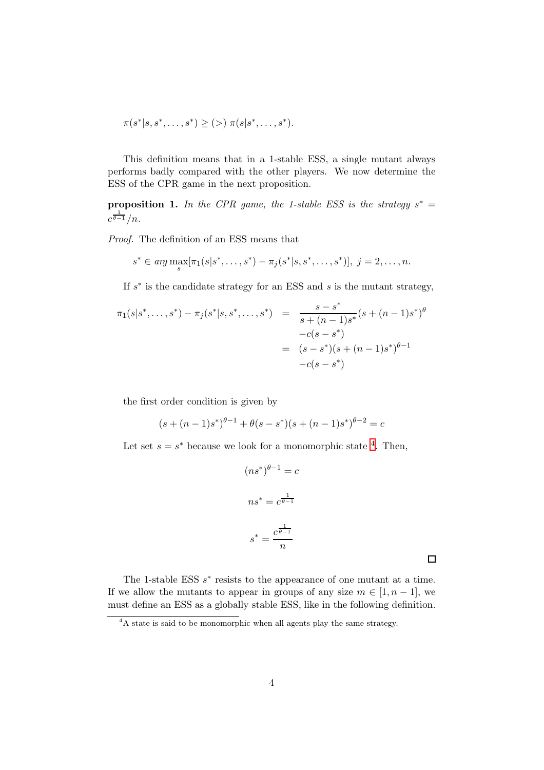$$
\pi(s^*|s, s^*, \dots, s^*) \ge (>) \pi(s|s^*, \dots, s^*).
$$

This definition means that in a 1-stable ESS, a single mutant always performs badly compared with the other players. We now determine the ESS of the CPR game in the next proposition.

**proposition 1.** In the CPR game, the 1-stable ESS is the strategy  $s^* =$  $c^{\frac{1}{\theta-1}}/n$ .

Proof. The definition of an ESS means that

$$
s^* \in \arg\max_s [\pi_1(s|s^*, \dots, s^*) - \pi_j(s^*|s, s^*, \dots, s^*)], \ j = 2, \dots, n.
$$

If  $s^*$  is the candidate strategy for an ESS and  $s$  is the mutant strategy,

$$
\pi_1(s|s^*,...,s^*) - \pi_j(s^*|s,s^*,...,s^*) = \frac{s-s^*}{s+(n-1)s^*}(s+(n-1)s^*)^{\theta}
$$
  

$$
-c(s-s^*)
$$
  

$$
= (s-s^*)(s+(n-1)s^*)^{\theta-1}
$$
  

$$
-c(s-s^*)
$$

the first order condition is given by

$$
(s + (n - 1)s*)θ-1 + θ(s - s*)(s + (n - 1)s*)θ-2 = c
$$

Let set  $s = s^*$  because we look for a monomorphic state <sup>[4](#page-4-0)</sup>. Then,

$$
(ns^*)^{\theta-1} = c
$$

$$
ns^* = c^{\frac{1}{\theta-1}}
$$

$$
s^* = \frac{c^{\frac{1}{\theta-1}}}{n}
$$

The 1-stable ESS  $s^*$  resists to the appearance of one mutant at a time. If we allow the mutants to appear in groups of any size  $m \in [1, n-1]$ , we must define an ESS as a globally stable ESS, like in the following definition.

<span id="page-4-0"></span><sup>&</sup>lt;sup>4</sup>A state is said to be monomorphic when all agents play the same strategy.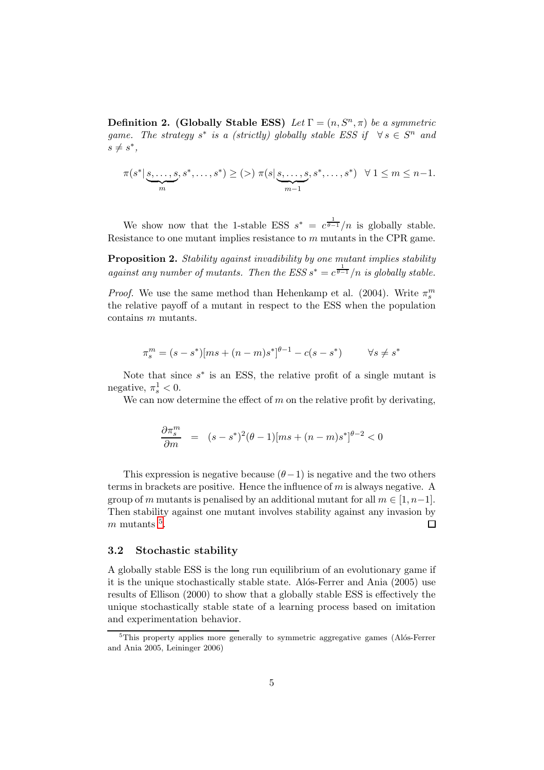**Definition 2.** (Globally Stable ESS) Let  $\Gamma = (n, S^n, \pi)$  be a symmetric game. The strategy  $s^*$  is a (strictly) globally stable ESS if  $\forall s \in S^n$  and  $s \neq s^*$ 

$$
\pi(s^* | \underbrace{s, \ldots, s}_{m}, s^*, \ldots, s^*) \ge (>) \; \pi(s | \underbrace{s, \ldots, s}_{m-1}, s^*, \ldots, s^*) \; \; \forall \; 1 \le m \le n-1.
$$

We show now that the 1-stable ESS  $s^* = c^{\frac{1}{\theta-1}}/n$  is globally stable. Resistance to one mutant implies resistance to m mutants in the CPR game.

Proposition 2. Stability against invadibility by one mutant implies stability against any number of mutants. Then the ESS  $s^* = c^{\frac{1}{\theta-1}}/n$  is globally stable.

*Proof.* We use the same method than Hehenkamp et al. (2004). Write  $\pi_s^m$ the relative payoff of a mutant in respect to the ESS when the population contains m mutants.

$$
\pi_s^m = (s - s^*)[ms + (n - m)s^*]^{\theta - 1} - c(s - s^*) \qquad \forall s \neq s^*
$$

Note that since  $s^*$  is an ESS, the relative profit of a single mutant is negative,  $\pi_s^1 < 0$ .

We can now determine the effect of  $m$  on the relative profit by derivating,

$$
\frac{\partial \pi_s^m}{\partial m} = (s - s^*)^2 (\theta - 1) [ms + (n - m)s^*]^{\theta - 2} < 0
$$

This expression is negative because  $(\theta-1)$  is negative and the two others terms in brackets are positive. Hence the influence of  $m$  is always negative. A group of m mutants is penalised by an additional mutant for all  $m \in [1, n-1]$ . Then stability against one mutant involves stability against any invasion by  $m$  mutants  $<sup>5</sup>$  $<sup>5</sup>$  $<sup>5</sup>$ .</sup>  $\Box$ 

#### 3.2 Stochastic stability

A globally stable ESS is the long run equilibrium of an evolutionary game if it is the unique stochastically stable state. Alos-Ferrer and Ania (2005) use results of Ellison (2000) to show that a globally stable ESS is effectively the unique stochastically stable state of a learning process based on imitation and experimentation behavior.

<span id="page-5-0"></span> ${}^{5}$ This property applies more generally to symmetric aggregative games (Alós-Ferrer and Ania 2005, Leininger 2006)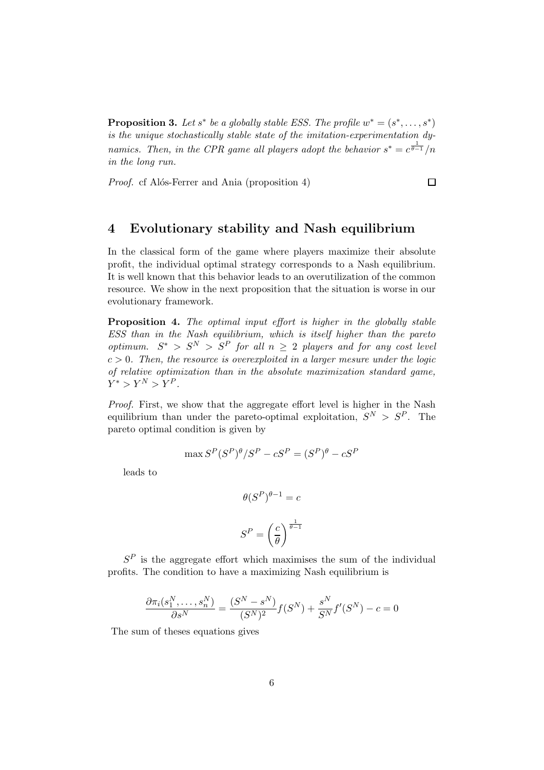**Proposition 3.** Let  $s^*$  be a globally stable ESS. The profile  $w^* = (s^*, \ldots, s^*)$ is the unique stochastically stable state of the imitation-experimentation dynamics. Then, in the CPR game all players adopt the behavior  $s^* = c^{\frac{1}{\theta-1}}/n$ in the long run.

 $\Box$ 

*Proof.* cf Alós-Ferrer and Ania (proposition 4)

# 4 Evolutionary stability and Nash equilibrium

In the classical form of the game where players maximize their absolute profit, the individual optimal strategy corresponds to a Nash equilibrium. It is well known that this behavior leads to an overutilization of the common resource. We show in the next proposition that the situation is worse in our evolutionary framework.

Proposition 4. The optimal input effort is higher in the globally stable ESS than in the Nash equilibrium, which is itself higher than the pareto optimum.  $S^* > S^N > S^P$  for all  $n \geq 2$  players and for any cost level  $c > 0$ . Then, the resource is overexploited in a larger mesure under the logic of relative optimization than in the absolute maximization standard game,  $Y^* > Y^N > Y^P$ .

Proof. First, we show that the aggregate effort level is higher in the Nash equilibrium than under the pareto-optimal exploitation,  $S^N > S^P$ . The pareto optimal condition is given by

$$
\max S^{P}(S^{P})^{\theta}/S^{P} - cS^{P} = (S^{P})^{\theta} - cS^{P}
$$

leads to

$$
\theta(S^{P})^{\theta-1} = c
$$

$$
S^{P} = \left(\frac{c}{\theta}\right)^{\frac{1}{\theta-1}}
$$

 $S<sup>P</sup>$  is the aggregate effort which maximises the sum of the individual profits. The condition to have a maximizing Nash equilibrium is

$$
\frac{\partial \pi_i(s_1^N, \dots, s_n^N)}{\partial s^N} = \frac{(S^N - s^N)}{(S^N)^2} f(S^N) + \frac{s^N}{S^N} f'(S^N) - c = 0
$$

The sum of theses equations gives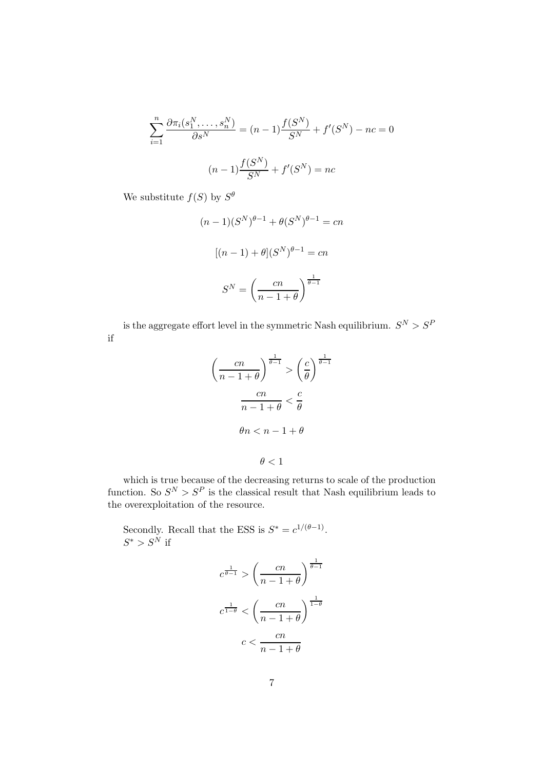$$
\sum_{i=1}^{n} \frac{\partial \pi_i(s_1^N, \dots, s_n^N)}{\partial s^N} = (n-1) \frac{f(S^N)}{S^N} + f'(S^N) - nc = 0
$$
  

$$
(n-1) \frac{f(S^N)}{S^N} + f'(S^N) = nc
$$

We substitute  $f(S)$  by  $S^{\theta}$ 

$$
(n-1)(S^N)^{\theta-1} + \theta(S^N)^{\theta-1} = cn
$$

$$
[(n-1) + \theta](S^N)^{\theta-1} = cn
$$

$$
S^N = \left(\frac{cn}{n-1+\theta}\right)^{\frac{1}{\theta-1}}
$$

is the aggregate effort level in the symmetric Nash equilibrium.  $S^N > S^P$ if

$$
\left(\frac{cn}{n-1+\theta}\right)^{\frac{1}{\theta-1}} > \left(\frac{c}{\theta}\right)^{\frac{1}{\theta-1}}
$$
\n
$$
\frac{cn}{n-1+\theta} < \frac{c}{\theta}
$$
\n
$$
\theta n < n-1+\theta
$$
\n
$$
\theta < 1
$$

which is true because of the decreasing returns to scale of the production function. So  $S^N > S^P$  is the classical result that Nash equilibrium leads to the overexploitation of the resource.

Secondly. Recall that the ESS is  $S^* = c^{1/(\theta - 1)}$ .  $S^* > S^{\overset{.}{N}}$  if

$$
c^{\frac{1}{\theta-1}} > \left(\frac{cn}{n-1+\theta}\right)^{\frac{1}{\theta-1}}
$$

$$
c^{\frac{1}{1-\theta}} < \left(\frac{cn}{n-1+\theta}\right)^{\frac{1}{1-\theta}}
$$

$$
c < \frac{cn}{n-1+\theta}
$$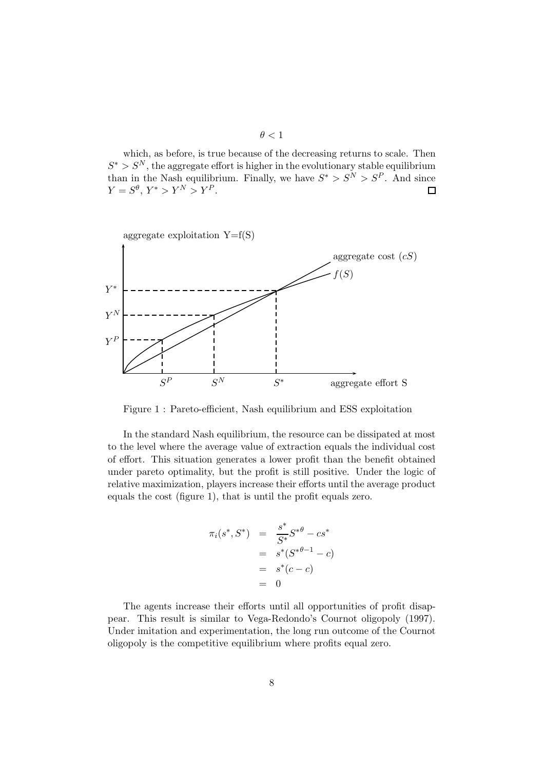$\theta < 1$ 

which, as before, is true because of the decreasing returns to scale. Then  $S^* > S^N$ , the aggregate effort is higher in the evolutionary stable equilibrium than in the Nash equilibrium. Finally, we have  $S^* > S^N > S^P$ . And since  $Y = S^{\theta}, Y^* > Y^N > Y^P.$  $\Box$ 



Figure 1 : Pareto-efficient, Nash equilibrium and ESS exploitation

In the standard Nash equilibrium, the resource can be dissipated at most to the level where the average value of extraction equals the individual cost of effort. This situation generates a lower profit than the benefit obtained under pareto optimality, but the profit is still positive. Under the logic of relative maximization, players increase their efforts until the average product equals the cost (figure 1), that is until the profit equals zero.

$$
\pi_i(s^*, S^*) = \frac{s^*}{S^*} S^{*\theta} - cs^*
$$
  
=  $s^*(S^{*\theta-1} - c)$   
=  $s^*(c - c)$   
= 0

The agents increase their efforts until all opportunities of profit disappear. This result is similar to Vega-Redondo's Cournot oligopoly (1997). Under imitation and experimentation, the long run outcome of the Cournot oligopoly is the competitive equilibrium where profits equal zero.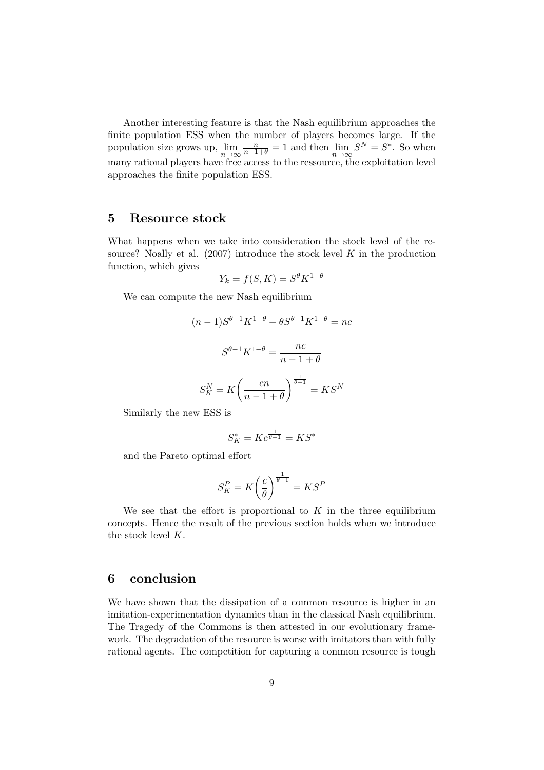Another interesting feature is that the Nash equilibrium approaches the finite population ESS when the number of players becomes large. If the population size grows up,  $\lim_{n \to \infty} \frac{n}{n-1+\theta} = 1$  and then  $\lim_{n \to \infty} S^N = S^*$ . So when many rational players have free access to the ressource, the exploitation level approaches the finite population ESS.

# 5 Resource stock

What happens when we take into consideration the stock level of the resource? Noally et al.  $(2007)$  introduce the stock level K in the production function, which gives

$$
Y_k = f(S, K) = S^{\theta} K^{1-\theta}
$$

We can compute the new Nash equilibrium

$$
(n-1)S^{\theta-1}K^{1-\theta} + \theta S^{\theta-1}K^{1-\theta} = nc
$$

$$
S^{\theta-1}K^{1-\theta} = \frac{nc}{n-1+\theta}
$$

$$
S_K^N = K\left(\frac{cn}{n-1+\theta}\right)^{\frac{1}{\theta-1}} = KS^N
$$

Similarly the new ESS is

$$
S_K^*=Kc^{\frac{1}{\theta-1}}=KS^*
$$

and the Pareto optimal effort

$$
S_K^P = K \bigg(\frac{c}{\theta}\bigg)^{\frac{1}{\theta-1}} = K S^P
$$

We see that the effort is proportional to  $K$  in the three equilibrium concepts. Hence the result of the previous section holds when we introduce the stock level K.

# 6 conclusion

We have shown that the dissipation of a common resource is higher in an imitation-experimentation dynamics than in the classical Nash equilibrium. The Tragedy of the Commons is then attested in our evolutionary framework. The degradation of the resource is worse with imitators than with fully rational agents. The competition for capturing a common resource is tough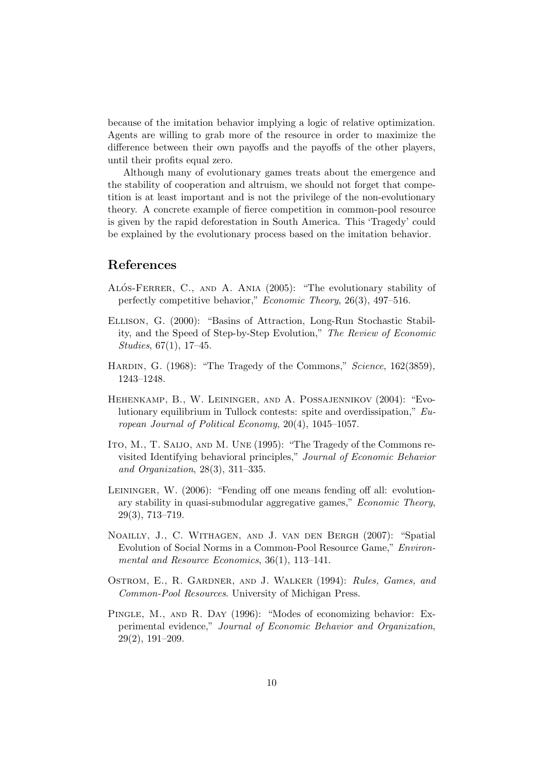because of the imitation behavior implying a logic of relative optimization. Agents are willing to grab more of the resource in order to maximize the difference between their own payoffs and the payoffs of the other players, until their profits equal zero.

Although many of evolutionary games treats about the emergence and the stability of cooperation and altruism, we should not forget that competition is at least important and is not the privilege of the non-evolutionary theory. A concrete example of fierce competition in common-pool resource is given by the rapid deforestation in South America. This 'Tragedy' could be explained by the evolutionary process based on the imitation behavior.

# References

- ALÓS-FERRER, C., AND A. ANIA (2005): "The evolutionary stability of perfectly competitive behavior," Economic Theory, 26(3), 497–516.
- Ellison, G. (2000): "Basins of Attraction, Long-Run Stochastic Stability, and the Speed of Step-by-Step Evolution," The Review of Economic Studies, 67(1), 17–45.
- HARDIN, G. (1968): "The Tragedy of the Commons," Science, 162(3859), 1243–1248.
- Hehenkamp, B., W. Leininger, and A. Possajennikov (2004): "Evolutionary equilibrium in Tullock contests: spite and overdissipation," European Journal of Political Economy, 20(4), 1045–1057.
- ITO, M., T. SAIJO, AND M. UNE (1995): "The Tragedy of the Commons revisited Identifying behavioral principles," Journal of Economic Behavior and Organization, 28(3), 311–335.
- LEININGER, W. (2006): "Fending off one means fending off all: evolutionary stability in quasi-submodular aggregative games," Economic Theory, 29(3), 713–719.
- Noailly, J., C. Withagen, and J. van den Bergh (2007): "Spatial Evolution of Social Norms in a Common-Pool Resource Game," Environmental and Resource Economics, 36(1), 113-141.
- OSTROM, E., R. GARDNER, AND J. WALKER (1994): Rules, Games, and Common-Pool Resources. University of Michigan Press.
- PINGLE, M., AND R. DAY (1996): "Modes of economizing behavior: Experimental evidence," Journal of Economic Behavior and Organization, 29(2), 191–209.